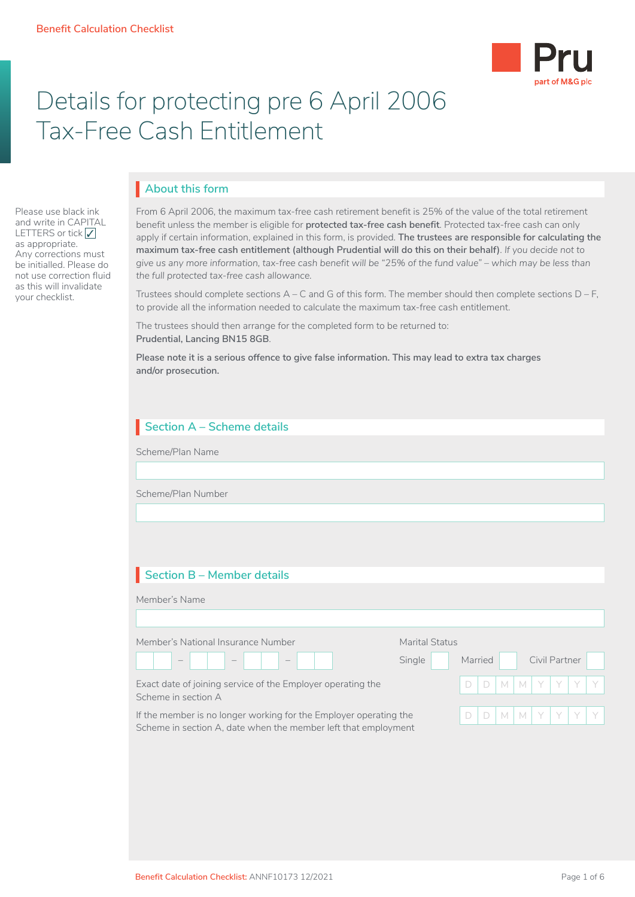Please use black ink and write in CAPITAL LETTERS or tick  $\sqrt{}$ as appropriate. Any corrections must be initialled. Please do not use correction fluid as this will invalidate your checklist.



# Details for protecting pre 6 April 2006 Tax-Free Cash Entitlement

## **About this form** I

From 6 April 2006, the maximum tax-free cash retirement benefit is 25% of the value of the total retirement benefit unless the member is eligible for **protected tax-free cash benefit**. Protected tax-free cash can only apply if certain information, explained in this form, is provided. **The trustees are responsible for calculating the maximum tax-free cash entitlement (although Prudential will do this on their behalf)**. *If you decide not to give us any more information, tax-free cash benefit will be "25% of the fund value" – which may be less than the full protected tax-free cash allowance.*

Trustees should complete sections  $A - C$  and G of this form. The member should then complete sections  $D - F$ , to provide all the information needed to calculate the maximum tax-free cash entitlement.

The trustees should then arrange for the completed form to be returned to: **Prudential, Lancing BN15 8GB**.

**Please note it is a serious offence to give false information. This may lead to extra tax charges and/or prosecution.**

## **Section A – Scheme details**

Scheme/Plan Name

Scheme/Plan Number

## **Section B – Member details** I

| Member's Name                                                                                                                       |                |         |   |   |    |               |  |
|-------------------------------------------------------------------------------------------------------------------------------------|----------------|---------|---|---|----|---------------|--|
|                                                                                                                                     |                |         |   |   |    |               |  |
| Member's National Insurance Number                                                                                                  | Marital Status |         |   |   |    |               |  |
| $\overline{\phantom{a}}$<br>$\hspace{0.1mm}-\hspace{0.1mm}$                                                                         | Single         | Married |   |   |    | Civil Partner |  |
| Exact date of joining service of the Employer operating the<br>Scheme in section A                                                  |                |         | M | M | Y. | Y.            |  |
| If the member is no longer working for the Employer operating the<br>Scheme in section A, date when the member left that employment |                |         | M | M | Y  |               |  |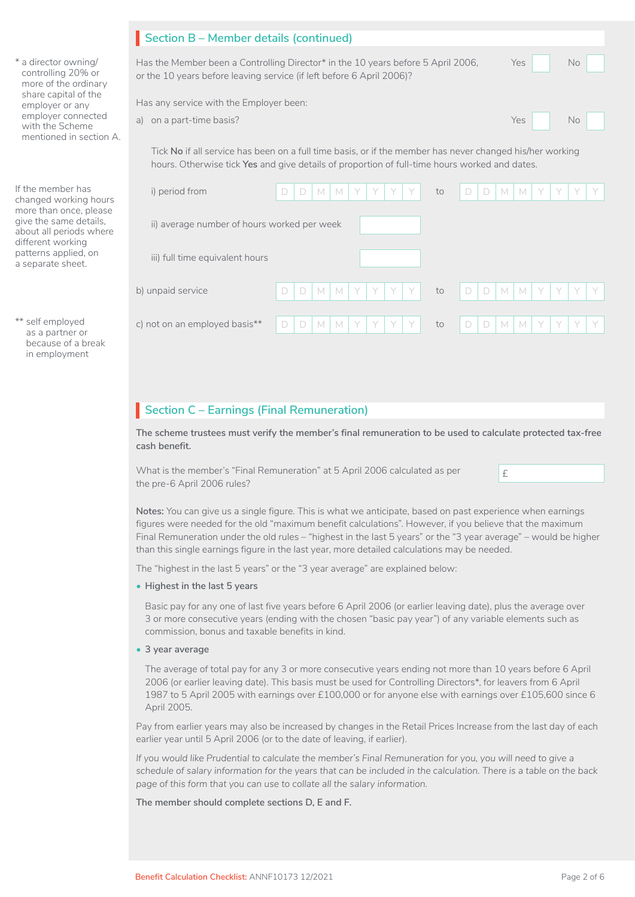|                                                                             | Section B - Member details (continued)                                                                                                                                                                    |
|-----------------------------------------------------------------------------|-----------------------------------------------------------------------------------------------------------------------------------------------------------------------------------------------------------|
| * a director owning/<br>controlling 20% or<br>more of the ordinary          | Has the Member been a Controlling Director* in the 10 years before 5 April 2006,<br>Yes<br><b>No</b><br>or the 10 years before leaving service (if left before 6 April 2006)?                             |
| share capital of the<br>employer or any                                     | Has any service with the Employer been:                                                                                                                                                                   |
| employer connected<br>with the Scheme<br>mentioned in section A.            | Yes<br>a) on a part-time basis?<br><b>No</b>                                                                                                                                                              |
|                                                                             | Tick No if all service has been on a full time basis, or if the member has never changed his/her working<br>hours. Otherwise tick Yes and give details of proportion of full-time hours worked and dates. |
| If the member has<br>changed working hours                                  | i) period from<br>M<br>M<br>M<br>$\Box$<br>D<br>M<br>to<br>D                                                                                                                                              |
| more than once, please<br>give the same details,<br>about all periods where | ii) average number of hours worked per week                                                                                                                                                               |
| different working<br>patterns applied, on<br>a separate sheet.              | iii) full time equivalent hours                                                                                                                                                                           |
|                                                                             | b) unpaid service<br>$\Box$<br>M<br>$\mathbb N$<br>D<br>M<br>D<br>M<br>to<br>D                                                                                                                            |
| ** self employed<br>as a partner or<br>because of a break<br>in employment  | c) not on an employed basis**<br>Y<br>Y<br>Y<br>M<br>D<br>M<br>M<br>D<br>D<br>$\mathbb N$<br>Y<br>D<br>to                                                                                                 |

## **Section C – Earnings (Final Remuneration)**

**The scheme trustees must verify the member's final remuneration to be used to calculate protected tax-free cash benefit.** 

What is the member's "Final Remuneration" at 5 April 2006 calculated as per  $\mathbf{f}$ the pre-6 April 2006 rules?

**Notes:** You can give us a single figure. This is what we anticipate, based on past experience when earnings figures were needed for the old "maximum benefit calculations". However, if you believe that the maximum Final Remuneration under the old rules – "highest in the last 5 years" or the "3 year average" – would be higher than this single earnings figure in the last year, more detailed calculations may be needed.

The "highest in the last 5 years" or the "3 year average" are explained below:

• **Highest in the last 5 years**

Basic pay for any one of last five years before 6 April 2006 (or earlier leaving date), plus the average over 3 or more consecutive years (ending with the chosen "basic pay year") of any variable elements such as commission, bonus and taxable benefits in kind.

• **3 year average**

The average of total pay for any 3 or more consecutive years ending not more than 10 years before 6 April 2006 (or earlier leaving date). This basis must be used for Controlling Directors\*, for leavers from 6 April 1987 to 5 April 2005 with earnings over £100,000 or for anyone else with earnings over £105,600 since 6 April 2005.

Pay from earlier years may also be increased by changes in the Retail Prices Increase from the last day of each earlier year until 5 April 2006 (or to the date of leaving, if earlier).

*If you would like Prudential to calculate the member's Final Remuneration for you, you will need to give a schedule of salary information for the years that can be included in the calculation. There is a table on the back page of this form that you can use to collate all the salary information.* 

**The member should complete sections D, E and F.**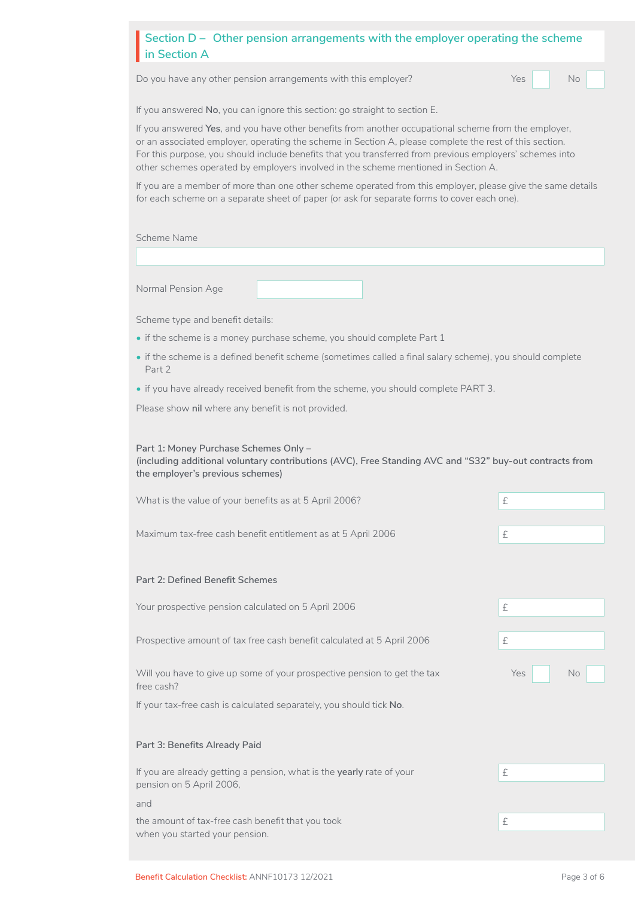#### Section D – Other pension arrangements with the employer operating the scheme<br>in Section A **in Section A**

Do you have any other pension arrangements with this employer? Yes Yes No

No **Little** 

If you answered **No**, you can ignore this section: go straight to section E.

If you answered **Yes**, and you have other benefits from another occupational scheme from the employer, or an associated employer, operating the scheme in Section A, please complete the rest of this section. For this purpose, you should include benefits that you transferred from previous employers' schemes into other schemes operated by employers involved in the scheme mentioned in Section A.

If you are a member of more than one other scheme operated from this employer, please give the same details for each scheme on a separate sheet of paper (or ask for separate forms to cover each one).

Scheme Name

Normal Pension Age

Scheme type and benefit details:

- if the scheme is a money purchase scheme, you should complete Part 1
- if the scheme is a defined benefit scheme (sometimes called a final salary scheme), you should complete Part 2
- if you have already received benefit from the scheme, you should complete PART 3.

Please show **nil** where any benefit is not provided.

**Part 1: Money Purchase Schemes Only – (including additional voluntary contributions (AVC), Free Standing AVC and "S32" buy-out contracts from the employer's previous schemes)**

| What is the value of your benefits as at 5 April 2006?                                            | £                |
|---------------------------------------------------------------------------------------------------|------------------|
| Maximum tax-free cash benefit entitlement as at 5 April 2006                                      | £                |
| <b>Part 2: Defined Benefit Schemes</b>                                                            |                  |
|                                                                                                   |                  |
| Your prospective pension calculated on 5 April 2006                                               | £                |
| Prospective amount of tax free cash benefit calculated at 5 April 2006                            | £                |
| Will you have to give up some of your prospective pension to get the tax<br>free cash?            | Yes<br><b>No</b> |
| If your tax-free cash is calculated separately, you should tick No.                               |                  |
|                                                                                                   |                  |
| Part 3: Benefits Already Paid                                                                     |                  |
| If you are already getting a pension, what is the yearly rate of your<br>pension on 5 April 2006, | £                |
| and                                                                                               |                  |
| the amount of tax-free cash benefit that you took<br>when you started your pension.               | £                |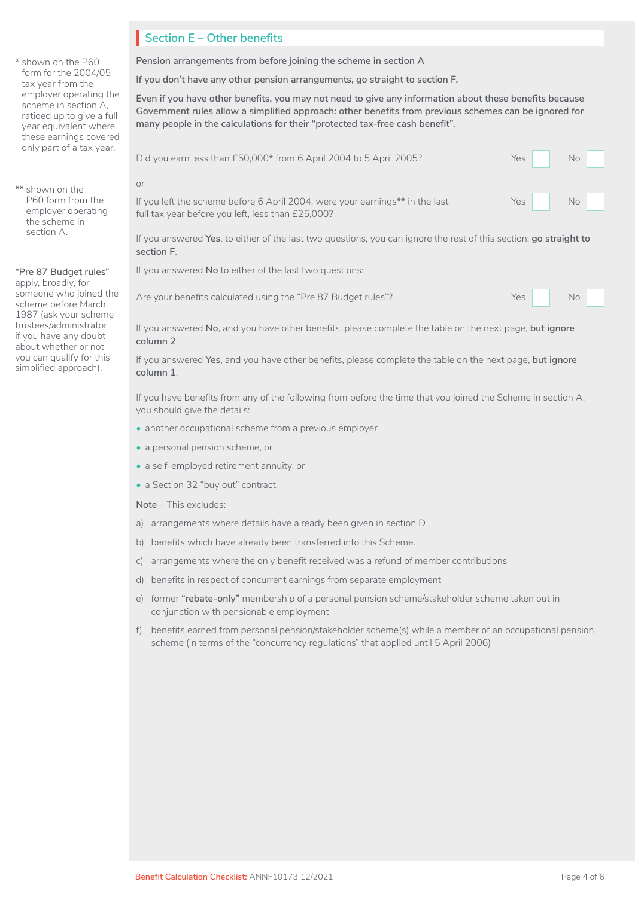\* shown on the P60 form for the 2004/05 tax year from the employer operating the scheme in section A, ratioed up to give a full year equivalent where these earnings covered only part of a tax year.

#### \*\* shown on the P60 form from the employer operating the scheme in section A.

#### **"Pre 87 Budget rules"**

apply, broadly, for someone who joined the scheme before March 1987 (ask your scheme trustees/administrator if you have any doubt about whether or not you can qualify for this simplified approach).

## **Section E – Other benefits** I

**Pension arrangements from before joining the scheme in section A**

**If you don't have any other pension arrangements, go straight to section F.**

**Even if you have other benefits, you may not need to give any information about these benefits because Government rules allow a simplified approach: other benefits from previous schemes can be ignored for many people in the calculations for their "protected tax-free cash benefit".** 

| Did you earn less than £50,000* from 6 April 2004 to 5 April 2005?                                                                      | Yes I | No |
|-----------------------------------------------------------------------------------------------------------------------------------------|-------|----|
| or<br>If you left the scheme before 6 April 2004, were your earnings** in the last<br>full tax year before you left, less than £25,000? | $Yes$ | No |
| If you answered Yes, to either of the last two questions, you can ignore the rest of this section; go straight to<br>section F.         |       |    |

If you answered **No** to either of the last two questions:

Are your benefits calculated using the "Pre 87 Budget rules"? Yes

|  | $\sqrt{0}$ |  |
|--|------------|--|
|  |            |  |

If you answered **No**, and you have other benefits, please complete the table on the next page, **but ignore column 2**.

If you answered **Yes**, and you have other benefits, please complete the table on the next page, **but ignore column 1**.

If you have benefits from any of the following from before the time that you joined the Scheme in section A, you should give the details:

- another occupational scheme from a previous employer
- a personal pension scheme, or
- a self-employed retirement annuity, or
- a Section 32 "buy out" contract.

**Note** – This excludes:

- a) arrangements where details have already been given in section D
- b) benefits which have already been transferred into this Scheme.
- c) arrangements where the only benefit received was a refund of member contributions
- d) benefits in respect of concurrent earnings from separate employment
- e) former **"rebate-only"** membership of a personal pension scheme/stakeholder scheme taken out in conjunction with pensionable employment
- f) benefits earned from personal pension/stakeholder scheme(s) while a member of an occupational pension scheme (in terms of the "concurrency regulations" that applied until 5 April 2006)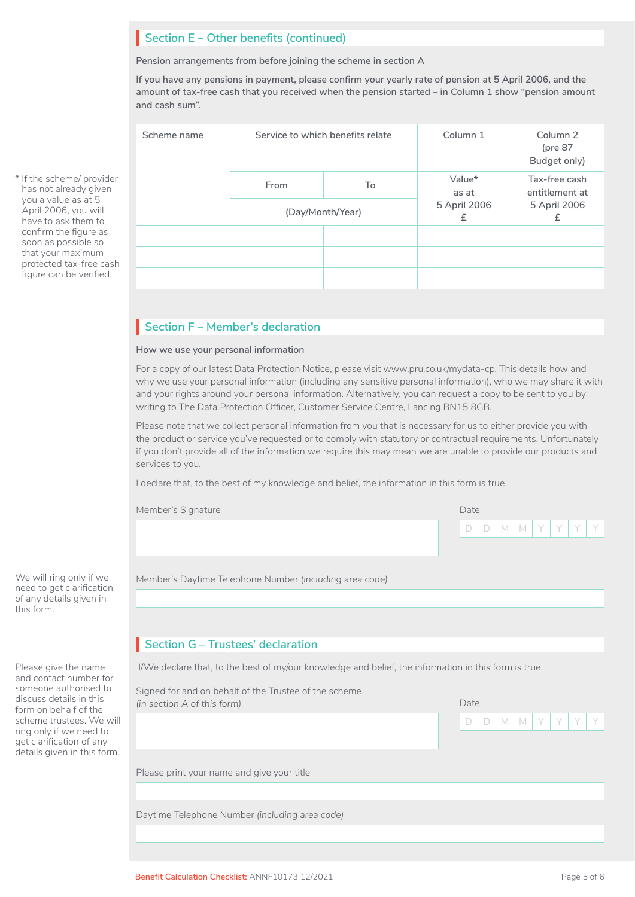## **Section E – Other benefits (continued)**

**Pension arrangements from before joining the scheme in section A**

**If you have any pensions in payment, please confirm your yearly rate of pension at 5 April 2006, and the amount of tax-free cash that you received when the pension started – in Column 1 show "pension amount and cash sum".**

| Scheme name | Service to which benefits relate |                  | Column 1          | Column <sub>2</sub><br>(pre $87$<br>Budget only) |  |  |  |
|-------------|----------------------------------|------------------|-------------------|--------------------------------------------------|--|--|--|
|             | From                             | To               | Value*<br>as at   | Tax-free cash<br>entitlement at                  |  |  |  |
|             |                                  | (Day/Month/Year) | 5 April 2006<br>£ | 5 April 2006<br>£                                |  |  |  |
|             |                                  |                  |                   |                                                  |  |  |  |
|             |                                  |                  |                   |                                                  |  |  |  |
|             |                                  |                  |                   |                                                  |  |  |  |

## **Section F – Member's declaration**

#### **How we use your personal information**

For a copy of our latest Data Protection Notice, please visit www.pru.co.uk/mydata-cp. This details how and why we use your personal information (including any sensitive personal information), who we may share it with and your rights around your personal information. Alternatively, you can request a copy to be sent to you by writing to The Data Protection Officer, Customer Service Centre, Lancing BN15 8GB.

Please note that we collect personal information from you that is necessary for us to either provide you with the product or service you've requested or to comply with statutory or contractual requirements. Unfortunately if you don't provide all of the information we require this may mean we are unable to provide our products and services to you.

I declare that, to the best of my knowledge and belief, the information in this form is true.

| Member's Signature | Date |  |  |  |               |  |
|--------------------|------|--|--|--|---------------|--|
|                    |      |  |  |  | $D D M M Y Y$ |  |
|                    |      |  |  |  |               |  |

Member's Daytime Telephone Number *(including area code)*

## **Section G – Trustees' declaration**

Please give the name I/We declare that, to the best of my/our knowledge and belief, the information in this form is true.

Please print your name and give your title Signed for and on behalf of the Trustee of the scheme *(in section A of this form)* Date D | D | M | M | Y | Y | Y | Y

Daytime Telephone Number *(including area code)*

\* If the scheme/ provider has not already given you a value as at 5 April 2006, you will have to ask them to confirm the figure as soon as possible so that your maximum protected tax-free cash figure can be verified.

We will ring only if we need to get clarification of any details given in this form.

and contact number for someone authorised to discuss details in this form on behalf of the scheme trustees. We will ring only if we need to get clarification of any details given in this form.